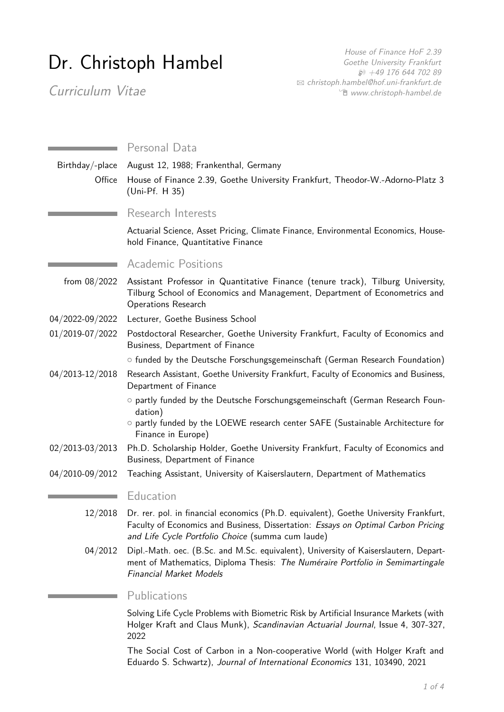# Dr. Christoph Hambel

House of Finance HoF 2.39 Goethe University Frankfurt H +49 176 644 702 89 B [christoph.hambel@hof.uni-frankfurt.de](mailto:christoph.hambel@hof.uni-frankfurt.de) Í [www.christoph-hambel.de](https://www.christoph-hambel.de)

Curriculum Vitae

|                 | Personal Data                                                                                                                                                                                                                   |
|-----------------|---------------------------------------------------------------------------------------------------------------------------------------------------------------------------------------------------------------------------------|
| Birthday/-place | August 12, 1988; Frankenthal, Germany                                                                                                                                                                                           |
| Office          | House of Finance 2.39, Goethe University Frankfurt, Theodor-W.-Adorno-Platz 3<br>(Uni-Pf. H 35)                                                                                                                                 |
|                 | Research Interests                                                                                                                                                                                                              |
|                 | Actuarial Science, Asset Pricing, Climate Finance, Environmental Economics, House-<br>hold Finance, Quantitative Finance                                                                                                        |
|                 | <b>Academic Positions</b>                                                                                                                                                                                                       |
| from $08/2022$  | Assistant Professor in Quantitative Finance (tenure track), Tilburg University,<br>Tilburg School of Economics and Management, Department of Econometrics and<br><b>Operations Research</b>                                     |
| 04/2022-09/2022 | Lecturer, Goethe Business School                                                                                                                                                                                                |
| 01/2019-07/2022 | Postdoctoral Researcher, Goethe University Frankfurt, Faculty of Economics and<br>Business, Department of Finance                                                                                                               |
|                 | ○ funded by the Deutsche Forschungsgemeinschaft (German Research Foundation)                                                                                                                                                    |
| 04/2013-12/2018 | Research Assistant, Goethe University Frankfurt, Faculty of Economics and Business,<br>Department of Finance                                                                                                                    |
|                 | o partly funded by the Deutsche Forschungsgemeinschaft (German Research Foun-<br>dation)<br>o partly funded by the LOEWE research center SAFE (Sustainable Architecture for<br>Finance in Europe)                               |
| 02/2013-03/2013 | Ph.D. Scholarship Holder, Goethe University Frankfurt, Faculty of Economics and<br>Business, Department of Finance                                                                                                              |
| 04/2010-09/2012 | Teaching Assistant, University of Kaiserslautern, Department of Mathematics                                                                                                                                                     |
|                 | Education                                                                                                                                                                                                                       |
| 12/2018         | Dr. rer. pol. in financial economics (Ph.D. equivalent), Goethe University Frankfurt,<br>Faculty of Economics and Business, Dissertation: Essays on Optimal Carbon Pricing<br>and Life Cycle Portfolio Choice (summa cum laude) |
| 04/2012         | Dipl.-Math. oec. (B.Sc. and M.Sc. equivalent), University of Kaiserslautern, Depart-<br>ment of Mathematics, Diploma Thesis: The Numéraire Portfolio in Semimartingale<br><b>Financial Market Models</b>                        |
|                 | Publications                                                                                                                                                                                                                    |
|                 | Solving Life Cycle Problems with Biometric Risk by Artificial Insurance Markets (with<br>Holger Kraft and Claus Munk), Scandinavian Actuarial Journal, Issue 4, 307-327,                                                        |

2022

The Social Cost of Carbon in a Non-cooperative World (with Holger Kraft and Eduardo S. Schwartz), Journal of International Economics 131, 103490, 2021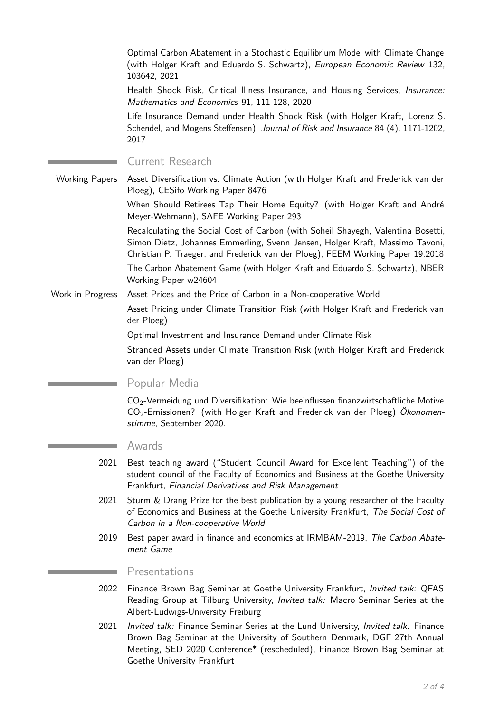Optimal Carbon Abatement in a Stochastic Equilibrium Model with Climate Change (with Holger Kraft and Eduardo S. Schwartz), European Economic Review 132, 103642, 2021

Health Shock Risk, Critical Illness Insurance, and Housing Services, Insurance: Mathematics and Economics 91, 111-128, 2020

Life Insurance Demand under Health Shock Risk (with Holger Kraft, Lorenz S. Schendel, and Mogens Steffensen), Journal of Risk and Insurance 84 (4), 1171-1202, 2017

Current Research

Working Papers Asset Diversification vs. Climate Action (with Holger Kraft and Frederick van der Ploeg), CESifo Working Paper 8476

> When Should Retirees Tap Their Home Equity? (with Holger Kraft and André Meyer-Wehmann), SAFE Working Paper 293

> Recalculating the Social Cost of Carbon (with Soheil Shayegh, Valentina Bosetti, Simon Dietz, Johannes Emmerling, Svenn Jensen, Holger Kraft, Massimo Tavoni, Christian P. Traeger, and Frederick van der Ploeg), FEEM Working Paper 19.2018

> The Carbon Abatement Game (with Holger Kraft and Eduardo S. Schwartz), NBER Working Paper w24604

Work in Progress Asset Prices and the Price of Carbon in a Non-cooperative World

Asset Pricing under Climate Transition Risk (with Holger Kraft and Frederick van der Ploeg)

Optimal Investment and Insurance Demand under Climate Risk

Stranded Assets under Climate Transition Risk (with Holger Kraft and Frederick van der Ploeg)

Popular Media

 $CO<sub>2</sub>$ -Vermeidung und Diversifikation: Wie beeinflussen finanzwirtschaftliche Motive CO2-Emissionen? (with Holger Kraft and Frederick van der Ploeg) Ökonomenstimme, September 2020.

#### Awards

- 2021 Best teaching award ("Student Council Award for Excellent Teaching") of the student council of the Faculty of Economics and Business at the Goethe University Frankfurt, Financial Derivatives and Risk Management
- 2021 Sturm & Drang Prize for the best publication by a young researcher of the Faculty of Economics and Business at the Goethe University Frankfurt, The Social Cost of Carbon in a Non-cooperative World
- 2019 Best paper award in finance and economics at IRMBAM-2019, The Carbon Abatement Game

#### Presentations

- 2022 Finance Brown Bag Seminar at Goethe University Frankfurt, *Invited talk: QFAS* Reading Group at Tilburg University, Invited talk: Macro Seminar Series at the Albert-Ludwigs-University Freiburg
- 2021 Invited talk: Finance Seminar Series at the Lund University, Invited talk: Finance Brown Bag Seminar at the University of Southern Denmark, DGF 27th Annual Meeting, SED 2020 Conference\* (rescheduled), Finance Brown Bag Seminar at Goethe University Frankfurt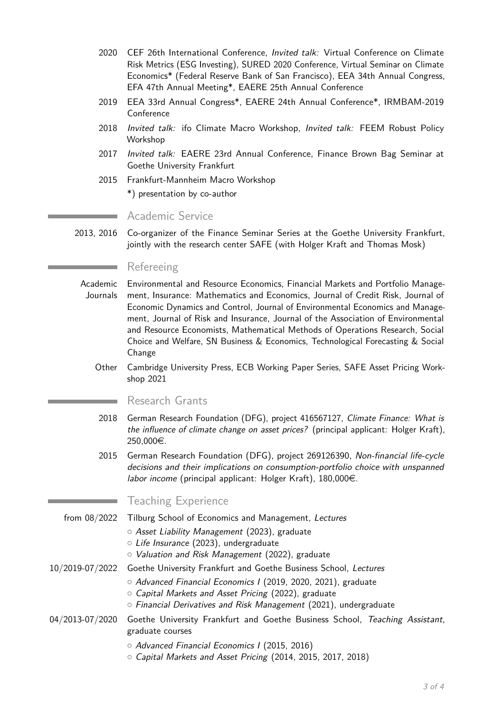- 2020 CEF 26th International Conference. *Invited talk:* Virtual Conference on Climate Risk Metrics (ESG Investing), SURED 2020 Conference, Virtual Seminar on Climate Economics\* (Federal Reserve Bank of San Francisco), EEA 34th Annual Congress, EFA 47th Annual Meeting\*, EAERE 25th Annual Conference
- 2019 EEA 33rd Annual Congress\*, EAERE 24th Annual Conference\*, IRMBAM-2019 Conference
- 2018 Invited talk: ifo Climate Macro Workshop, Invited talk: FEEM Robust Policy Workshop
- 2017 Invited talk: EAERE 23rd Annual Conference, Finance Brown Bag Seminar at Goethe University Frankfurt
- 2015 Frankfurt-Mannheim Macro Workshop

\*) presentation by co-author

## Academic Service

2013, 2016 Co-organizer of the Finance Seminar Series at the Goethe University Frankfurt, jointly with the research center SAFE (with Holger Kraft and Thomas Mosk)

## Refereeing

- Academic Journals Environmental and Resource Economics, Financial Markets and Portfolio Management, Insurance: Mathematics and Economics, Journal of Credit Risk, Journal of Economic Dynamics and Control, Journal of Environmental Economics and Management, Journal of Risk and Insurance, Journal of the Association of Environmental and Resource Economists, Mathematical Methods of Operations Research, Social Choice and Welfare, SN Business & Economics, Technological Forecasting & Social Change
	- Other Cambridge University Press, ECB Working Paper Series, SAFE Asset Pricing Workshop 2021

#### Research Grants

- 2018 German Research Foundation (DFG), project 416567127, Climate Finance: What is the influence of climate change on asset prices? (principal applicant: Holger Kraft), 250,000€.
- 2015 German Research Foundation (DFG), project 269126390, Non-financial life-cycle decisions and their implications on consumption-portfolio choice with unspanned labor income (principal applicant: Holger Kraft),  $180,000 \in$ .

# Teaching Experience

- from 08/2022 Tilburg School of Economics and Management, Lectures
	- o Asset Liability Management (2023), graduate
		- $\circ$  Life Insurance (2023), undergraduate
		- o Valuation and Risk Management (2022), graduate

#### 10/2019-07/2022 Goethe University Frankfurt and Goethe Business School, Lectures

- $\circ$  Advanced Financial Economics I (2019, 2020, 2021), graduate
	- $\circ$  Capital Markets and Asset Pricing (2022), graduate
- $\circ$  Financial Derivatives and Risk Management (2021), undergraduate

### 04/2013-07/2020 Goethe University Frankfurt and Goethe Business School, Teaching Assistant, graduate courses

- Advanced Financial Economics I (2015, 2016)
- $\circ$  Capital Markets and Asset Pricing (2014, 2015, 2017, 2018)